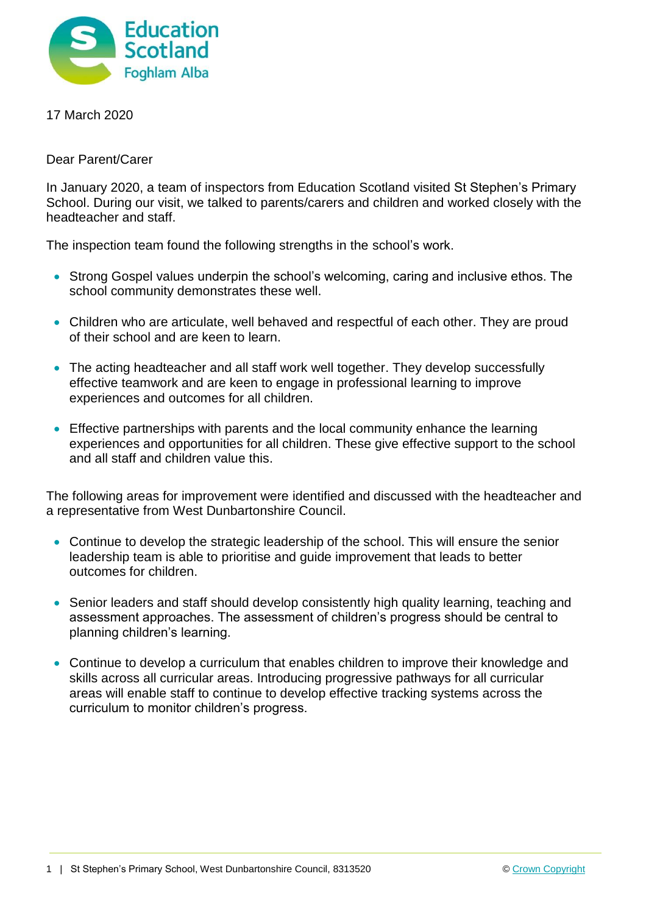

17 March 2020

Dear Parent/Carer

In January 2020, a team of inspectors from Education Scotland visited St Stephen's Primary School. During our visit, we talked to parents/carers and children and worked closely with the headteacher and staff.

The inspection team found the following strengths in the school's work.

- Strong Gospel values underpin the school's welcoming, caring and inclusive ethos. The school community demonstrates these well.
- Children who are articulate, well behaved and respectful of each other. They are proud of their school and are keen to learn.
- The acting headteacher and all staff work well together. They develop successfully effective teamwork and are keen to engage in professional learning to improve experiences and outcomes for all children.
- **Effective partnerships with parents and the local community enhance the learning** experiences and opportunities for all children. These give effective support to the school and all staff and children value this.

The following areas for improvement were identified and discussed with the headteacher and a representative from West Dunbartonshire Council.

- Continue to develop the strategic leadership of the school. This will ensure the senior leadership team is able to prioritise and guide improvement that leads to better outcomes for children.
- Senior leaders and staff should develop consistently high quality learning, teaching and assessment approaches. The assessment of children's progress should be central to planning children's learning.
- Continue to develop a curriculum that enables children to improve their knowledge and skills across all curricular areas. Introducing progressive pathways for all curricular areas will enable staff to continue to develop effective tracking systems across the curriculum to monitor children's progress.